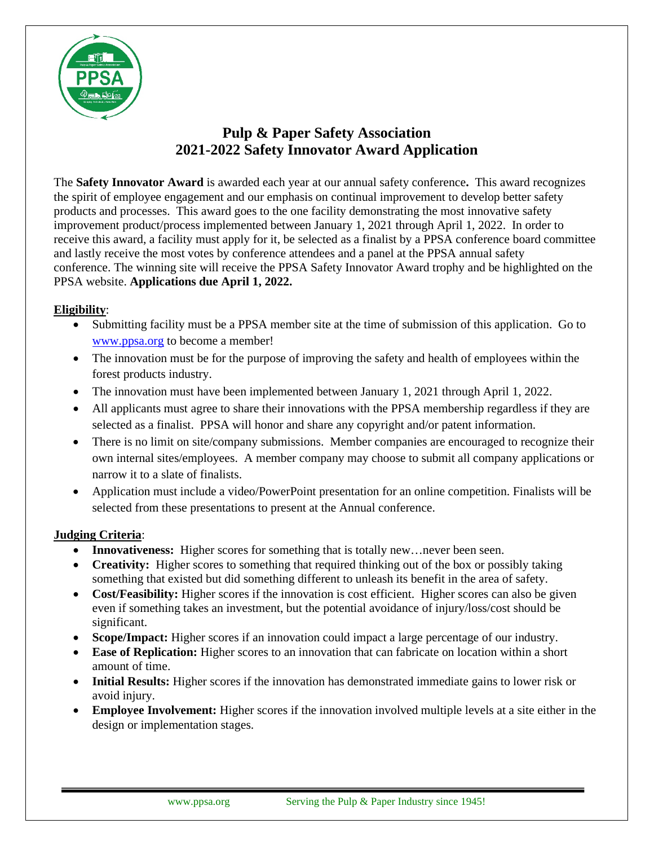

## **Pulp & Paper Safety Association 2021-2022 Safety Innovator Award Application**

The **Safety Innovator Award** is awarded each year at our annual safety conference**.** This award recognizes the spirit of employee engagement and our emphasis on continual improvement to develop better safety products and processes. This award goes to the one facility demonstrating the most innovative safety improvement product/process implemented between January 1, 2021 through April 1, 2022. In order to receive this award, a facility must apply for it, be selected as a finalist by a PPSA conference board committee and lastly receive the most votes by conference attendees and a panel at the PPSA annual safety conference. The winning site will receive the PPSA Safety Innovator Award trophy and be highlighted on the PPSA website. **Applications due April 1, 2022.** 

## **Eligibility**:

- Submitting facility must be a PPSA member site at the time of submission of this application. Go to [www.ppsa.org](http://www.ppsa.org/) to become a member!
- The innovation must be for the purpose of improving the safety and health of employees within the forest products industry.
- The innovation must have been implemented between January 1, 2021 through April 1, 2022.
- All applicants must agree to share their innovations with the PPSA membership regardless if they are selected as a finalist. PPSA will honor and share any copyright and/or patent information.
- There is no limit on site/company submissions. Member companies are encouraged to recognize their own internal sites/employees. A member company may choose to submit all company applications or narrow it to a slate of finalists.
- Application must include a video/PowerPoint presentation for an online competition. Finalists will be selected from these presentations to present at the Annual conference.

## **Judging Criteria**:

- **Innovativeness:** Higher scores for something that is totally new... never been seen.
- **Creativity:** Higher scores to something that required thinking out of the box or possibly taking something that existed but did something different to unleash its benefit in the area of safety.
- **Cost/Feasibility:** Higher scores if the innovation is cost efficient. Higher scores can also be given even if something takes an investment, but the potential avoidance of injury/loss/cost should be significant.
- **Scope/Impact:** Higher scores if an innovation could impact a large percentage of our industry.
- **Ease of Replication:** Higher scores to an innovation that can fabricate on location within a short amount of time.
- **Initial Results:** Higher scores if the innovation has demonstrated immediate gains to lower risk or avoid injury.
- **Employee Involvement:** Higher scores if the innovation involved multiple levels at a site either in the design or implementation stages.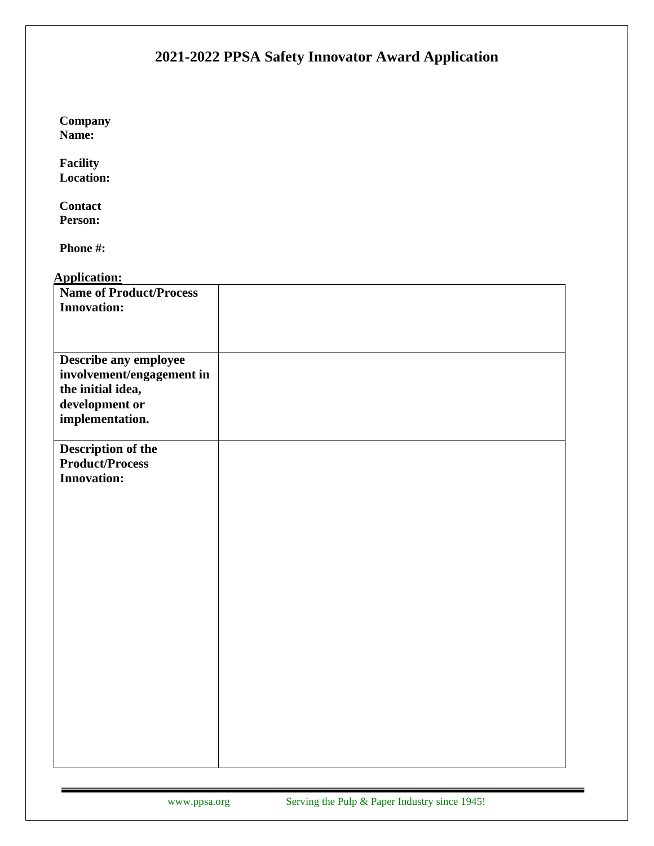| 2021-2022 PPSA Safety Innovator Award Application                       |  |
|-------------------------------------------------------------------------|--|
|                                                                         |  |
| Company<br>Name:                                                        |  |
| Facility<br><b>Location:</b>                                            |  |
| <b>Contact</b><br>Person:                                               |  |
| Phone #:                                                                |  |
| <b>Application:</b>                                                     |  |
| <b>Name of Product/Process</b><br><b>Innovation:</b>                    |  |
| Describe any employee<br>involvement/engagement in<br>the initial idea, |  |
| development or<br>implementation.                                       |  |
| Description of the<br><b>Product/Process</b><br><b>Innovation:</b>      |  |
|                                                                         |  |
|                                                                         |  |
|                                                                         |  |
|                                                                         |  |
|                                                                         |  |
|                                                                         |  |
|                                                                         |  |